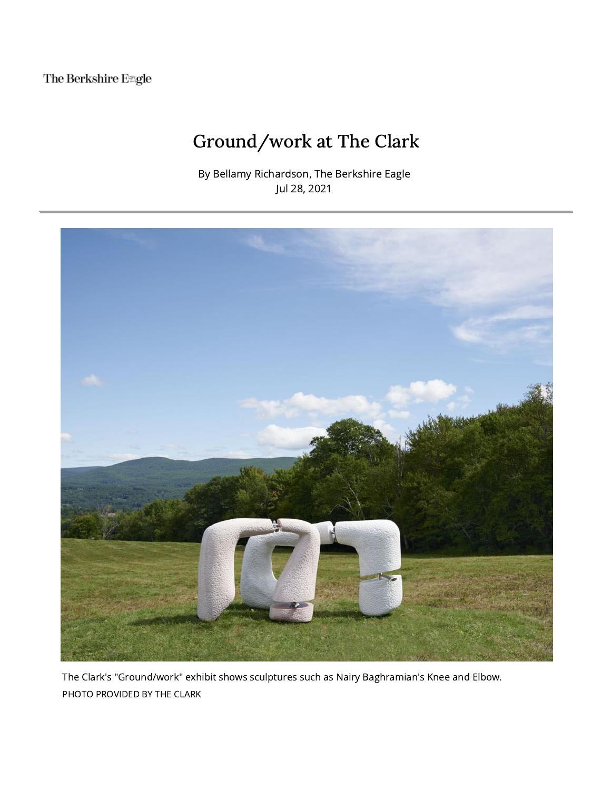The Berkshire E#gle

## Ground/work at The Clark

By Bellamy Richardson, The Berkshire Eagle Jul 28, 2021



The Clark's "Ground/work" exhibit shows sculptures such as Nairy Baghramian's Knee and Elbow. PHOTO PROVIDED BY THE CLARK